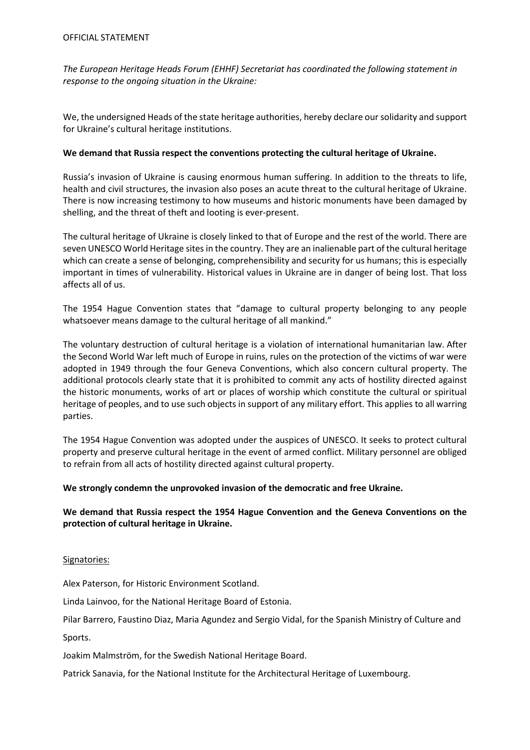*The European Heritage Heads Forum (EHHF) Secretariat has coordinated the following statement in response to the ongoing situation in the Ukraine:*

We, the undersigned Heads of the state heritage authorities, hereby declare our solidarity and support for Ukraine's cultural heritage institutions.

# **We demand that Russia respect the conventions protecting the cultural heritage of Ukraine.**

Russia's invasion of Ukraine is causing enormous human suffering. In addition to the threats to life, health and civil structures, the invasion also poses an acute threat to the cultural heritage of Ukraine. There is now increasing testimony to how museums and historic monuments have been damaged by shelling, and the threat of theft and looting is ever-present.

The cultural heritage of Ukraine is closely linked to that of Europe and the rest of the world. There are seven UNESCO World Heritage sites in the country. They are an inalienable part of the cultural heritage which can create a sense of belonging, comprehensibility and security for us humans; this is especially important in times of vulnerability. Historical values in Ukraine are in danger of being lost. That loss affects all of us.

The 1954 Hague Convention states that "damage to cultural property belonging to any people whatsoever means damage to the cultural heritage of all mankind."

The voluntary destruction of cultural heritage is a violation of international humanitarian law. After the Second World War left much of Europe in ruins, rules on the protection of the victims of war were adopted in 1949 through the four Geneva Conventions, which also concern cultural property. The additional protocols clearly state that it is prohibited to commit any acts of hostility directed against the historic monuments, works of art or places of worship which constitute the cultural or spiritual heritage of peoples, and to use such objects in support of any military effort. This applies to all warring parties.

The 1954 Hague Convention was adopted under the auspices of UNESCO. It seeks to protect cultural property and preserve cultural heritage in the event of armed conflict. Military personnel are obliged to refrain from all acts of hostility directed against cultural property.

# **We strongly condemn the unprovoked invasion of the democratic and free Ukraine.**

# **We demand that Russia respect the 1954 Hague Convention and the Geneva Conventions on the protection of cultural heritage in Ukraine.**

### Signatories:

Alex Paterson, for Historic Environment Scotland.

Linda Lainvoo, for the National Heritage Board of Estonia.

Pilar Barrero, Faustino Diaz, Maria Agundez and Sergio Vidal, for the Spanish Ministry of Culture and

Sports.

Joakim Malmström, for the Swedish National Heritage Board.

Patrick Sanavia, for the National Institute for the Architectural Heritage of Luxembourg.